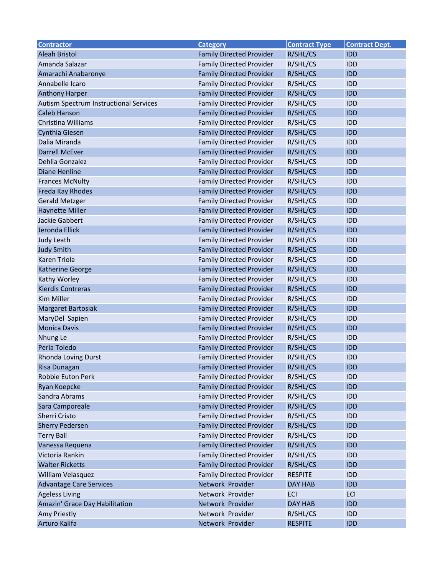| <b>Contractor</b>                      | <b>Category</b>                 | <b>Contract Type</b> | <b>Contract Dept.</b> |
|----------------------------------------|---------------------------------|----------------------|-----------------------|
| <b>Aleah Bristol</b>                   | <b>Family Directed Provider</b> | R/SHL/CS             | <b>IDD</b>            |
| Amanda Salazar                         | <b>Family Directed Provider</b> | R/SHL/CS             | <b>IDD</b>            |
| Amarachi Anabaronye                    | <b>Family Directed Provider</b> | R/SHL/CS             | <b>IDD</b>            |
| Annabelle Icaro                        | <b>Family Directed Provider</b> | R/SHL/CS             | <b>IDD</b>            |
| <b>Anthony Harper</b>                  | <b>Family Directed Provider</b> | R/SHL/CS             | <b>IDD</b>            |
| Autism Spectrum Instructional Services | <b>Family Directed Provider</b> | R/SHL/CS             | <b>IDD</b>            |
| Caleb Hanson                           | <b>Family Directed Provider</b> | R/SHL/CS             | <b>IDD</b>            |
| Christina Williams                     | <b>Family Directed Provider</b> | R/SHL/CS             | <b>IDD</b>            |
| Cynthia Giesen                         | <b>Family Directed Provider</b> | R/SHL/CS             | <b>IDD</b>            |
| Dalia Miranda                          | <b>Family Directed Provider</b> | R/SHL/CS             | <b>IDD</b>            |
| <b>Darrell McEver</b>                  | <b>Family Directed Provider</b> | R/SHL/CS             | <b>IDD</b>            |
| Dehlia Gonzalez                        | <b>Family Directed Provider</b> | R/SHL/CS             | <b>IDD</b>            |
| <b>Diane Henline</b>                   | <b>Family Directed Provider</b> | R/SHL/CS             | <b>IDD</b>            |
| <b>Frances McNulty</b>                 | <b>Family Directed Provider</b> | R/SHL/CS             | <b>IDD</b>            |
| Freda Kay Rhodes                       | <b>Family Directed Provider</b> | R/SHL/CS             | <b>IDD</b>            |
| <b>Gerald Metzger</b>                  | <b>Family Directed Provider</b> | R/SHL/CS             | <b>IDD</b>            |
| <b>Haynette Miller</b>                 | <b>Family Directed Provider</b> | R/SHL/CS             | <b>IDD</b>            |
| <b>Jackie Gabbert</b>                  | <b>Family Directed Provider</b> | R/SHL/CS             | <b>IDD</b>            |
| Jeronda Ellick                         | <b>Family Directed Provider</b> | R/SHL/CS             | <b>IDD</b>            |
| Judy Leath                             | <b>Family Directed Provider</b> | R/SHL/CS             | <b>IDD</b>            |
| <b>Judy Smith</b>                      | <b>Family Directed Provider</b> | R/SHL/CS             | <b>IDD</b>            |
| <b>Karen Triola</b>                    | <b>Family Directed Provider</b> | R/SHL/CS             | <b>IDD</b>            |
| <b>Katherine George</b>                | <b>Family Directed Provider</b> | R/SHL/CS             | <b>IDD</b>            |
| Kathy Worley                           | <b>Family Directed Provider</b> | R/SHL/CS             | <b>IDD</b>            |
| <b>Kierdis Contreras</b>               | <b>Family Directed Provider</b> | R/SHL/CS             | <b>IDD</b>            |
| <b>Kim Miller</b>                      | <b>Family Directed Provider</b> | R/SHL/CS             | <b>IDD</b>            |
| Margaret Bartosiak                     | <b>Family Directed Provider</b> | R/SHL/CS             | <b>IDD</b>            |
| MaryDel Sapien                         | <b>Family Directed Provider</b> | R/SHL/CS             | <b>IDD</b>            |
| <b>Monica Davis</b>                    | <b>Family Directed Provider</b> | R/SHL/CS             | <b>IDD</b>            |
| Nhung Le                               | <b>Family Directed Provider</b> | R/SHL/CS             | <b>IDD</b>            |
| Perla Toledo                           | <b>Family Directed Provider</b> | R/SHL/CS             | <b>IDD</b>            |
| Rhonda Loving Durst                    | <b>Family Directed Provider</b> | R/SHL/CS             | <b>IDD</b>            |
| Risa Dunagan                           | <b>Family Directed Provider</b> | R/SHL/CS             | <b>IDD</b>            |
| Robbie Euton Perk                      | <b>Family Directed Provider</b> | R/SHL/CS             | <b>IDD</b>            |
| Ryan Koepcke                           | <b>Family Directed Provider</b> | R/SHL/CS             | <b>IDD</b>            |
| Sandra Abrams                          | <b>Family Directed Provider</b> | R/SHL/CS             | <b>IDD</b>            |
| Sara Camporeale                        | <b>Family Directed Provider</b> | R/SHL/CS             | <b>IDD</b>            |
| Sherri Cristo                          | <b>Family Directed Provider</b> | R/SHL/CS             | <b>IDD</b>            |
| <b>Sherry Pedersen</b>                 | <b>Family Directed Provider</b> | R/SHL/CS             | <b>IDD</b>            |
| <b>Terry Ball</b>                      | <b>Family Directed Provider</b> | R/SHL/CS             | <b>IDD</b>            |
| Vanessa Requena                        | <b>Family Directed Provider</b> | R/SHL/CS             | <b>IDD</b>            |
| Victoria Rankin                        | <b>Family Directed Provider</b> | R/SHL/CS             | <b>IDD</b>            |
| <b>Walter Ricketts</b>                 | <b>Family Directed Provider</b> | R/SHL/CS             | <b>IDD</b>            |
| William Velasquez                      | <b>Family Directed Provider</b> | <b>RESPITE</b>       | <b>IDD</b>            |
| <b>Advantage Care Services</b>         | Network Provider                | DAY HAB              | <b>IDD</b>            |
| <b>Ageless Living</b>                  | Network Provider                | <b>ECI</b>           | ECI                   |
| Amazin' Grace Day Habilitation         | Network Provider                | DAY HAB              | <b>IDD</b>            |
| Amy Priestly                           | Network Provider                | R/SHL/CS             | <b>IDD</b>            |
| Arturo Kalifa                          | Network Provider                | <b>RESPITE</b>       | <b>IDD</b>            |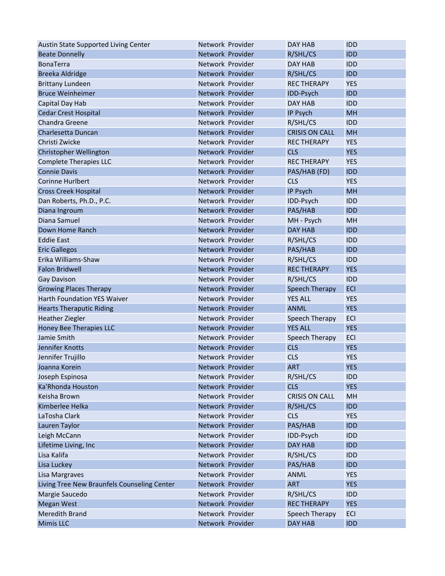| Austin State Supported Living Center        | Network Provider | DAY HAB               | <b>IDD</b> |
|---------------------------------------------|------------------|-----------------------|------------|
| <b>Beate Donnelly</b>                       | Network Provider | R/SHL/CS              | <b>IDD</b> |
| <b>BonaTerra</b>                            | Network Provider | DAY HAB               | <b>IDD</b> |
| <b>Breeka Aldridge</b>                      | Network Provider | R/SHL/CS              | <b>IDD</b> |
| <b>Brittany Lundeen</b>                     | Network Provider | <b>REC THERAPY</b>    | <b>YES</b> |
| <b>Bruce Weinheimer</b>                     | Network Provider | IDD-Psych             | <b>IDD</b> |
| Capital Day Hab                             | Network Provider | DAY HAB               | <b>IDD</b> |
| <b>Cedar Crest Hospital</b>                 | Network Provider | IP Psych              | MH         |
| Chandra Greene                              | Network Provider | R/SHL/CS              | <b>IDD</b> |
| Charlesetta Duncan                          | Network Provider | <b>CRISIS ON CALL</b> | MH         |
| Christi Zwicke                              | Network Provider | <b>REC THERAPY</b>    | <b>YES</b> |
| Christopher Wellington                      | Network Provider | <b>CLS</b>            | <b>YES</b> |
| <b>Complete Therapies LLC</b>               | Network Provider | <b>REC THERAPY</b>    | <b>YES</b> |
| <b>Connie Davis</b>                         | Network Provider | PAS/HAB (FD)          | <b>IDD</b> |
| Corinne Hurlbert                            | Network Provider | <b>CLS</b>            | <b>YES</b> |
| <b>Cross Creek Hospital</b>                 | Network Provider | IP Psych              | MH         |
| Dan Roberts, Ph.D., P.C.                    | Network Provider | IDD-Psych             | <b>IDD</b> |
| Diana Ingroum                               | Network Provider | PAS/HAB               | <b>IDD</b> |
| Diana Samuel                                | Network Provider | MH - Psych            | MH         |
| Down Home Ranch                             | Network Provider | DAY HAB               | <b>IDD</b> |
| <b>Eddie East</b>                           | Network Provider | R/SHL/CS              | <b>IDD</b> |
| <b>Eric Gallegos</b>                        | Network Provider | PAS/HAB               | <b>IDD</b> |
| Erika Williams-Shaw                         | Network Provider | R/SHL/CS              | <b>IDD</b> |
| <b>Falon Bridwell</b>                       | Network Provider | <b>REC THERAPY</b>    | <b>YES</b> |
| <b>Gay Davison</b>                          | Network Provider | R/SHL/CS              | <b>IDD</b> |
| <b>Growing Places Therapy</b>               | Network Provider | Speech Therapy        | <b>ECI</b> |
| <b>Harth Foundation YES Waiver</b>          | Network Provider | <b>YES ALL</b>        | <b>YES</b> |
| <b>Hearts Theraputic Riding</b>             | Network Provider | <b>ANML</b>           | <b>YES</b> |
| <b>Heather Ziegler</b>                      | Network Provider | Speech Therapy        | <b>ECI</b> |
| <b>Honey Bee Therapies LLC</b>              | Network Provider | <b>YES ALL</b>        | <b>YES</b> |
| Jamie Smith                                 | Network Provider | Speech Therapy        | <b>ECI</b> |
| Jennifer Knotts                             | Network Provider | <b>CLS</b>            | <b>YES</b> |
| Jennifer Trujillo                           | Network Provider | <b>CLS</b>            | <b>YES</b> |
| Joanna Korein                               | Network Provider | <b>ART</b>            | <b>YES</b> |
| Joseph Espinosa                             | Network Provider | R/SHL/CS              | <b>IDD</b> |
| Ka'Rhonda Houston                           | Network Provider | <b>CLS</b>            | <b>YES</b> |
| Keisha Brown                                | Network Provider | <b>CRISIS ON CALL</b> | MH         |
| Kimberlee Helka                             | Network Provider | R/SHL/CS              | <b>IDD</b> |
| LaTosha Clark                               | Network Provider | <b>CLS</b>            | <b>YES</b> |
|                                             | Network Provider |                       | <b>IDD</b> |
| Lauren Taylor                               |                  | PAS/HAB               |            |
| Leigh McCann                                | Network Provider | IDD-Psych             | <b>IDD</b> |
| Lifetime Living, Inc                        | Network Provider | DAY HAB               | <b>IDD</b> |
| Lisa Kalifa                                 | Network Provider | R/SHL/CS              | <b>IDD</b> |
| Lisa Luckey                                 | Network Provider | PAS/HAB               | <b>IDD</b> |
| Lisa Margraves                              | Network Provider | ANML                  | <b>YES</b> |
| Living Tree New Braunfels Counseling Center | Network Provider | <b>ART</b>            | <b>YES</b> |
| Margie Saucedo                              | Network Provider | R/SHL/CS              | <b>IDD</b> |
| <b>Megan West</b>                           | Network Provider | <b>REC THERAPY</b>    | <b>YES</b> |
| <b>Meredith Brand</b>                       | Network Provider | Speech Therapy        | <b>ECI</b> |
| <b>Mimis LLC</b>                            | Network Provider | DAY HAB               | <b>IDD</b> |